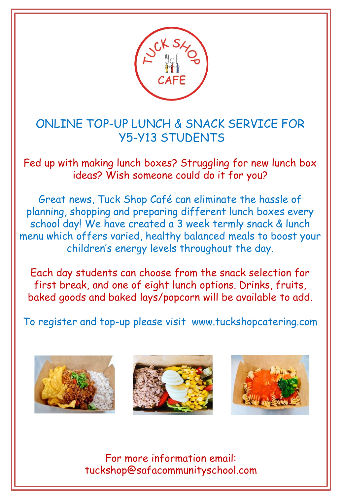

ONLINE TOP-UP LUNCH & SNACK SERVICE FOR Y5-Y13 STUDENTS

Fed up with making lunch boxes? Struggling for new lunch box ideas? Wish someone could do it for you?

- children's energy levels throughout the day. Great news, Tuck Shop Café can eliminate the hassle of planning, shopping and preparing different lunch boxes every school day! We have created a 3 week termly snack & lunch menu which offers varied, healthy balanced meals to boost your

Each day students can choose from the snack selection for first break, and one of eight lunch options. Drinks, fruits, baked goods and baked lays/popcorn will be available to add.

To register and top-up please visit www.tuckshopcatering.com







For more information email: tuckshop@safacommunityschool.com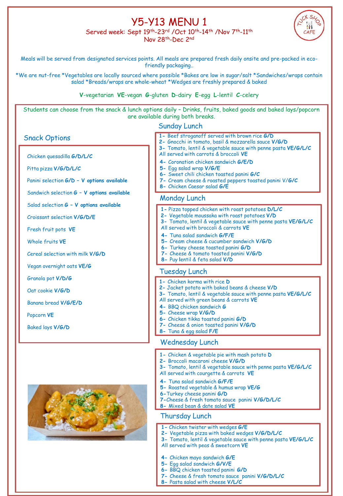# Y5-Y13 MENU 1

Served week: Sept 19th-23rd /Oct 10th-14th /Nov 7th-11th Nov 28th-Dec 2nd



Meals will be served from designated services points. All meals are prepared fresh daily onsite and pre-packed in ecofriendly packaging..

\*We are nut-free \*Vegetables are locally sourced where possible \*Bakes are low in sugar/salt \*Sandwiches/wraps contain salad \*Breads/wraps are whole-wheat \*Wedges are freshly prepared & baked

#### **V**-vegetarian **VE**-vegan **G**-gluten **D**-dairy **E**-egg **L**-lentil **C**-celery

Students can choose from the snack & lunch options daily – Drinks, fruits, baked goods and baked lays/popcorn are available during both breaks.

### Sunday Lunch

Chicken quesadilla **G/D/L/C**

Pitta pizza **V/G/D/L/C**

Panini selection **G/D – V options available**

Sandwich selection **G – V options available**

Salad selection **G – V options available**

Croissant selection **V/G/D/E**

Fresh fruit pots **VE**

Whole fruits **VE**

Cereal selection with milk **V/G/D** 

Vegan overnight oats **VE/G**

Granola pot **V/D/G**

Oat cookie **V/G/D**

Banana bread **V/G/E/D**

Popcorn **VE** 

Baked lays **V/G/D**



- Snack Options **1-** Beef stroganoff served with brown rice **G/D**
	- **2-** Gnocchi in tomato, basil & mozzarella sauce **V/G/D**
	- **3-** Tomato, lentil & vegetable sauce with penne pasta **VE/G/L/C**
	- All served with carrots & broccoli **VE**
	- **4-** Coronation chicken sandwich **G/E/D**
	- **5-** Egg salad wrap **V/G/E**
	- **6-** Sweet chili chicken toasted panini **G/C**
	- **7-** Cream cheese & roasted peppers toasted panini V/**G/C**
	- **8-** Chicken Caesar salad **G/E**

#### Monday Lunch

- **1-** Pizza topped chicken with roast potatoes **D/L/C**
- **2-** Vegetable moussaka with roast potatoes **V/D**
- **3-** Tomato, lentil & vegetable sauce with penne pasta **VE/G/L/C**
- All served with broccoli & carrots **VE**
- **4-** Tuna salad sandwich **G/F/E**
- **5-** Cream cheese & cucumber sandwich **V/G/D**
- **6-** Turkey cheese toasted panini **G/D**
- **7-** Cheese & tomato toasted panini **V/G/D**
- **8-** Puy **l**entil & feta salad **V/D**

#### Tuesday Lunch

- **1-** Chicken korma with rice **D**
- **2-** Jacket potato with baked beans & cheese **V/D**
- **3-** Tomato, lentil & vegetable sauce with penne pasta **VE/G/L/C**
- All served with green beans & carrots **VE**
- **4-** BBQ chicken sandwich **G**
- **5-** Cheese wrap **V/G/D**
- **6-** Chicken tikka toasted panini **G/D**
- 
- 

#### Wednesday Lunch

- **1-** Chicken & vegetable pie with mash potato **D**
- **2-** Broccoli macaroni cheese **V/G/D**
- **3-** Tomato, lentil & vegetable sauce with penne pasta **VE/G/L/C**
- All served with courgette & carrots **VE**
- **4-** Tuna salad sandwich **G/F/E**
- **5-** Roasted vegetable & humus wrap **VE/G**
- **6-**Turkey cheese panini **G/D**
- **7-**Cheese & fresh tomato sauce panini **V/G/D/L/C**
- **8-** Mixed bean & date salad **VE**

### Thursday Lunch

- **1-** Chicken twister with wedges **G/E**
- **2-** Vegetable pizza with baked wedges **V/G/D/L/C**
- **3-** Tomato, lentil & vegetable sauce with penne pasta **VE/G/L/C**
- All served with peas & sweetcorn **VE**
- **4-** Chicken mayo sandwich **G/E**
- **5-** Egg salad sandwich **G/V/E**
- **6-** BBQ chicken toasted panini **G/D**
- **7-** Cheese & fresh tomato sauce panini **V/G/D/L/C**
- **8-** Pasta salad with cheese **V/L/C**

**7-** Cheese & onion toasted panini **V/G/D 8-** Tuna & egg salad **F/E**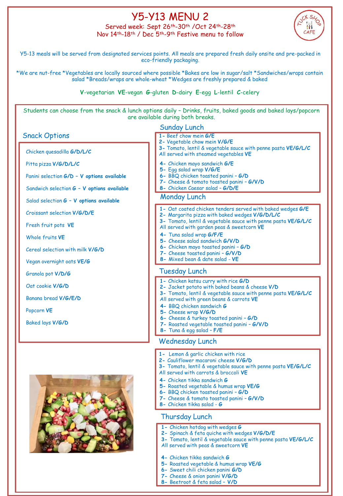# Y5-Y13 MENU 2

Served week: Sept 26<sup>th</sup>-30<sup>th</sup> /Oct 24<sup>th</sup>-28<sup>th</sup> Nov 14th-18th / Dec 5th-9th Festive menu to follow



Y5-13 meals will be served from designated services points. All meals are prepared fresh daily onsite and pre-packed in eco-friendly packaging.

\*We are nut-free \*Vegetables are locally sourced where possible \*Bakes are low in sugar/salt \*Sandwiches/wraps contain salad \*Breads/wraps are whole-wheat \*Wedges are freshly prepared & baked

#### **V**-vegetarian **VE**-vegan **G**-gluten **D**-dairy **E**-egg **L**-lentil **C**-celery

Students can choose from the snack & lunch options daily – Drinks, fruits, baked goods and baked lays/popcorn are available during both breaks.

### Sunday Lunch

### Snack Options **1-** Beef chow mein **G/E**

Chicken quesadilla **G/D/L/C**

Pitta pizza **V/G/D/L/C**

Panini selection **G/D – V options available**

Sandwich selection **G – V options available**

Salad selection **G – V options available**

Croissant selection **V/G/D/E**

Fresh fruit pots **VE**

Whole fruits **VE**

Cereal selection with milk **V/G/D** 

Vegan overnight oats **VE/G**

Granola pot **V/D/G**

Oat cookie **V/G/D**

Banana bread **V/G/E/D**

Popcorn **VE** 

Baked lays **V/G/D**



- 
- **2-** Vegetable chow mein **V/G/E**
- **3-** Tomato, lentil & vegetable sauce with penne pasta **VE/G/L/C**
- All served with steamed vegetables **VE**
- **4-** Chicken mayo sandwich **G/E**
- **5-** Egg salad wrap **V/G/E**
- **6-** BBQ chicken toasted panini **G/D**
- **7-** Cheese & tomato toasted panini **G/V/D**
- **8-** Chicken Caesar salad **G/D/E**

#### Monday Lunch

- **1-** Oat coated chicken tenders served with baked wedges **G/E**
- **2-** Margarita pizza with baked wedges **V/G/D/L/C**
- **3-** Tomato, lentil & vegetable sauce with penne pasta **VE/G/L/C**
- All served with garden peas & sweetcorn **VE**
- **4-** Tuna salad wrap **G/F/E**
- **5-** Cheese salad sandwich **G/V/D**
- **7-** Cheese toasted panini **G/V/D 6-** Chicken mayo toasted panini – **G/D**
- **8-** Mixed bean & date salad **VE**
- 

#### Tuesday Lunch

- **1-** Chicken katsu curry with rice **G/D**
- **2-** Jacket potato with baked beans & cheese **V/D**
- **3-** Tomato, lentil & vegetable sauce with penne pasta **VE/G/L/C**
- All served with green beans & carrots **VE**
- **4-** BBQ chicken sandwich **G**
- **5-** Cheese wrap **V/G/D**
- **6-** Cheese & turkey toasted panini **G/D**
- **8-** Tuna & egg salad **F/E**

#### Wednesday Lunch

- **1-** Lemon & garlic chicken with rice
- **2-** Cauliflower macaroni cheese **V/G/D**
- **3-** Tomato, lentil & vegetable sauce with penne pasta **VE/G/L/C**
- All served with carrots & broccoli **VE**
- **4-** Chicken tikka sandwich **G**
- **5-** Roasted vegetable & humus wrap **VE/G 6-** BBQ chicken toasted panini – **G/D**
- **7-** Cheese & tomato toasted panini **G/V/D**
- **8-** Chicken tikka salad **G**

#### Thursday Lunch

- **1-** Chicken hotdog with wedges **G**
- **2-** Spinach & feta quiche with wedges **V/G/D/E**
- **3-** Tomato, lentil & vegetable sauce with penne pasta **VE/G/L/C**
- All served with peas & sweetcorn **VE**
- **4-** Chicken tikka sandwich **G**
- **5-** Roasted vegetable & humus wrap **VE/G**
- **6-** Sweet chili chicken panini **G/D**
- **7-** Cheese & onion panini **V/G/D**
- **8-** Beetroot & feta salad **V/D**

**7-** Roasted vegetable toasted panini – **G/V/D**